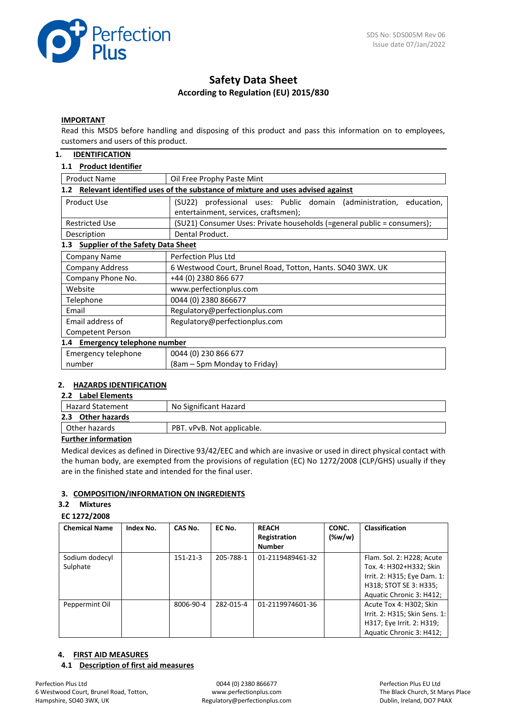

# **Safety Data Sheet According to Regulation (EU) 2015/830**

#### **IMPORTANT**

Read this MSDS before handling and disposing of this product and pass this information on to employees, customers and users of this product.

### **1. IDENTIFICATION**

### **1.1 Product Identifier**

| <b>Product Name</b>                                                                               | Oil Free Prophy Paste Mint                                              |  |  |
|---------------------------------------------------------------------------------------------------|-------------------------------------------------------------------------|--|--|
| Relevant identified uses of the substance of mixture and uses advised against<br>1.2 <sub>2</sub> |                                                                         |  |  |
| Product Use                                                                                       | (SU22) professional uses: Public domain (administration,<br>education,  |  |  |
|                                                                                                   | entertainment, services, craftsmen);                                    |  |  |
| <b>Restricted Use</b>                                                                             | (SU21) Consumer Uses: Private households (=general public = consumers); |  |  |
| Description                                                                                       | Dental Product.                                                         |  |  |
| <b>Supplier of the Safety Data Sheet</b><br>1.3                                                   |                                                                         |  |  |
| Company Name                                                                                      | <b>Perfection Plus Ltd</b>                                              |  |  |
| <b>Company Address</b>                                                                            | 6 Westwood Court, Brunel Road, Totton, Hants. SO40 3WX. UK              |  |  |
| Company Phone No.                                                                                 | +44 (0) 2380 866 677                                                    |  |  |
| Website                                                                                           | www.perfectionplus.com                                                  |  |  |
| Telephone                                                                                         | 0044 (0) 2380 866677                                                    |  |  |
| Email                                                                                             | Regulatory@perfectionplus.com                                           |  |  |
| Email address of                                                                                  | Regulatory@perfectionplus.com                                           |  |  |
| Competent Person                                                                                  |                                                                         |  |  |
| <b>Emergency telephone number</b><br>1.4                                                          |                                                                         |  |  |
| Emergency telephone                                                                               | 0044 (0) 230 866 677                                                    |  |  |
| number                                                                                            | (8am – 5pm Monday to Friday)                                            |  |  |

### **2. HAZARDS IDENTIFICATION**

## **2.2 Label Elements**

| --- ----------------    |                            |  |
|-------------------------|----------------------------|--|
| <b>Hazard Statement</b> | No Significant Hazard      |  |
| Other hazards<br>2.3    |                            |  |
| Other hazards           | PBT. vPvB. Not applicable. |  |
|                         |                            |  |

#### **Further information**

Medical devices as defined in Directive 93/42/EEC and which are invasive or used in direct physical contact with the human body, are exempted from the provisions of regulation (EC) No 1272/2008 (CLP/GHS) usually if they are in the finished state and intended for the final user.

### **3. COMPOSITION/INFORMATION ON INGREDIENTS**

#### **3.2 Mixtures**

#### **EC 1272/2008**

| <b>Chemical Name</b>       | Index No. | CAS No.        | EC No.    | <b>REACH</b><br>Registration<br><b>Number</b> | CONC.<br>$(\%w/w)$ | <b>Classification</b>                                                                                                                     |
|----------------------------|-----------|----------------|-----------|-----------------------------------------------|--------------------|-------------------------------------------------------------------------------------------------------------------------------------------|
| Sodium dodecyl<br>Sulphate |           | $151 - 21 - 3$ | 205-788-1 | 01-2119489461-32                              |                    | Flam. Sol. 2: H228; Acute<br>Tox. 4: H302+H332; Skin<br>Irrit. 2: H315; Eye Dam. 1:<br>H318; STOT SE 3: H335;<br>Aquatic Chronic 3: H412; |
| Peppermint Oil             |           | 8006-90-4      | 282-015-4 | 01-2119974601-36                              |                    | Acute Tox 4: H302; Skin<br>Irrit. 2: H315; Skin Sens. 1:<br>H317; Eye Irrit. 2: H319;<br>Aquatic Chronic 3: H412;                         |

#### **4. FIRST AID MEASURES**

#### **4.1 Description of first aid measures**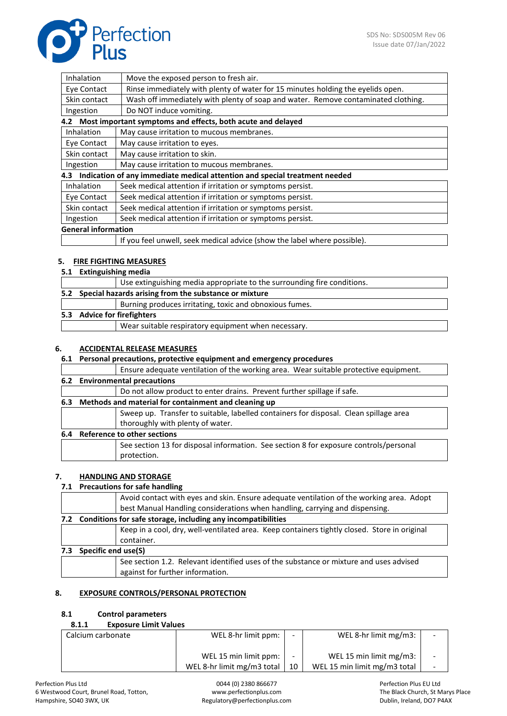

| Inhalation                 | Move the exposed person to fresh air.                                             |
|----------------------------|-----------------------------------------------------------------------------------|
| Eye Contact                | Rinse immediately with plenty of water for 15 minutes holding the eyelids open.   |
| Skin contact               | Wash off immediately with plenty of soap and water. Remove contaminated clothing. |
| Ingestion                  | Do NOT induce vomiting.                                                           |
|                            | 4.2 Most important symptoms and effects, both acute and delayed                   |
| Inhalation                 | May cause irritation to mucous membranes.                                         |
| Eye Contact                | May cause irritation to eyes.                                                     |
| Skin contact               | May cause irritation to skin.                                                     |
| Ingestion                  | May cause irritation to mucous membranes.                                         |
|                            | 4.3 Indication of any immediate medical attention and special treatment needed    |
| <b>Inhalation</b>          | Seek medical attention if irritation or symptoms persist.                         |
| Eye Contact                | Seek medical attention if irritation or symptoms persist.                         |
| Skin contact               | Seek medical attention if irritation or symptoms persist.                         |
| Ingestion                  | Seek medical attention if irritation or symptoms persist.                         |
| <b>General information</b> |                                                                                   |
|                            | If you feel unwell, seek medical advice (show the label where possible).          |

### **5. FIRE FIGHTING MEASURES**

#### **5.1 Extinguishing media**

|  | Use extinguishing media appropriate to the surrounding fire conditions. |
|--|-------------------------------------------------------------------------|
|  | 5.2 Special hazards arising from the substance or mixture               |
|  | Burning produces irritating, toxic and obnoxious fumes.                 |
|  | 5.3 Advice for firefighters                                             |
|  | Wear suitable respiratory equipment when necessary.                     |

### **6. ACCIDENTAL RELEASE MEASURES**

### **6.1 Personal precautions, protective equipment and emergency procedures**

|     |                               | Ensure adequate ventilation of the working area. Wear suitable protective equipment.  |
|-----|-------------------------------|---------------------------------------------------------------------------------------|
|     | 6.2 Environmental precautions |                                                                                       |
|     |                               | Do not allow product to enter drains. Prevent further spillage if safe.               |
| 6.3 |                               | Methods and material for containment and cleaning up                                  |
|     |                               | Sweep up. Transfer to suitable, labelled containers for disposal. Clean spillage area |
|     |                               | thoroughly with plenty of water.                                                      |
| 6.4 |                               | <b>Reference to other sections</b>                                                    |
|     |                               | See section 13 for disposal information. See section 8 for exposure controls/personal |
|     |                               | protection.                                                                           |
|     |                               |                                                                                       |

### **7. HANDLING AND STORAGE**

#### **7.1 Precautions for safe handling**

|                                                                  | Avoid contact with eyes and skin. Ensure adequate ventilation of the working area. Adopt     |  |
|------------------------------------------------------------------|----------------------------------------------------------------------------------------------|--|
|                                                                  | best Manual Handling considerations when handling, carrying and dispensing.                  |  |
| 7.2 Conditions for safe storage, including any incompatibilities |                                                                                              |  |
|                                                                  | Keep in a cool, dry, well-ventilated area. Keep containers tightly closed. Store in original |  |
|                                                                  | container.                                                                                   |  |
| Specific end use(S)                                              |                                                                                              |  |
|                                                                  | See section 1.2. Relevant identified uses of the substance or mixture and uses advised       |  |
|                                                                  | against for further information.                                                             |  |
|                                                                  |                                                                                              |  |

### **8. EXPOSURE CONTROLS/PERSONAL PROTECTION**

#### **8.1 Control parameters**

| 8.1.1 | <b>Exposure Limit Values</b> |  |
|-------|------------------------------|--|
|       |                              |  |

| Calcium carbonate | WEL 8-hr limit ppm:        |    | WEL 8-hr limit mg/m3:        | $\overline{\phantom{0}}$ |
|-------------------|----------------------------|----|------------------------------|--------------------------|
|                   | WEL 15 min limit ppm:      |    | WEL 15 min limit $mg/m3$ :   | $\overline{\phantom{a}}$ |
|                   | WEL 8-hr limit mg/m3 total | 10 | WEL 15 min limit mg/m3 total |                          |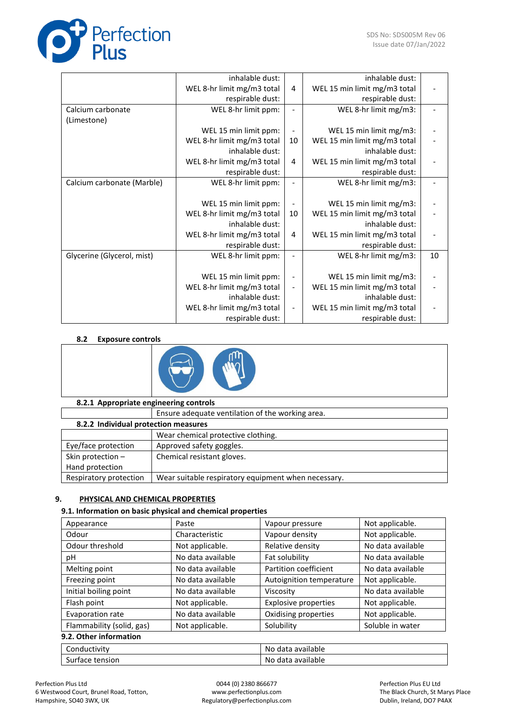

|                            | inhalable dust:            |                          | inhalable dust:              |    |
|----------------------------|----------------------------|--------------------------|------------------------------|----|
|                            | WEL 8-hr limit mg/m3 total | 4                        | WEL 15 min limit mg/m3 total |    |
|                            | respirable dust:           |                          | respirable dust:             |    |
| Calcium carbonate          | WEL 8-hr limit ppm:        |                          | WEL 8-hr limit mg/m3:        |    |
| (Limestone)                |                            |                          |                              |    |
|                            | WEL 15 min limit ppm:      |                          | WEL 15 min limit mg/m3:      |    |
|                            | WEL 8-hr limit mg/m3 total | 10                       | WEL 15 min limit mg/m3 total |    |
|                            | inhalable dust:            |                          | inhalable dust:              |    |
|                            | WEL 8-hr limit mg/m3 total | 4                        | WEL 15 min limit mg/m3 total |    |
|                            | respirable dust:           |                          | respirable dust:             |    |
| Calcium carbonate (Marble) | WEL 8-hr limit ppm:        |                          | WEL 8-hr limit mg/m3:        |    |
|                            |                            |                          |                              |    |
|                            | WEL 15 min limit ppm:      |                          | WEL 15 min limit mg/m3:      |    |
|                            | WEL 8-hr limit mg/m3 total | 10                       | WEL 15 min limit mg/m3 total |    |
|                            | inhalable dust:            |                          | inhalable dust:              |    |
|                            | WEL 8-hr limit mg/m3 total | 4                        | WEL 15 min limit mg/m3 total |    |
|                            | respirable dust:           |                          | respirable dust:             |    |
| Glycerine (Glycerol, mist) | WEL 8-hr limit ppm:        |                          | WEL 8-hr limit mg/m3:        | 10 |
|                            |                            |                          |                              |    |
|                            | WEL 15 min limit ppm:      |                          | WEL 15 min limit mg/m3:      |    |
|                            | WEL 8-hr limit mg/m3 total |                          | WEL 15 min limit mg/m3 total |    |
|                            | inhalable dust:            |                          | inhalable dust:              |    |
|                            | WEL 8-hr limit mg/m3 total | $\overline{\phantom{a}}$ | WEL 15 min limit mg/m3 total |    |
|                            | respirable dust:           |                          | respirable dust:             |    |

### **8.2 Exposure controls**



| 8.2.1 Appropriate engineering controls |
|----------------------------------------|
|                                        |

|                                      | Ensure adequate ventilation of the working area.    |  |  |
|--------------------------------------|-----------------------------------------------------|--|--|
| 8.2.2 Individual protection measures |                                                     |  |  |
|                                      | Wear chemical protective clothing.                  |  |  |
| Eye/face protection                  | Approved safety goggles.                            |  |  |
| Skin protection -                    | Chemical resistant gloves.                          |  |  |
| Hand protection                      |                                                     |  |  |
| Respiratory protection               | Wear suitable respiratory equipment when necessary. |  |  |

# **9. PHYSICAL AND CHEMICAL PROPERTIES**

### **9.1. Information on basic physical and chemical properties**

| Appearance                | Paste             | Vapour pressure             | Not applicable.   |  |
|---------------------------|-------------------|-----------------------------|-------------------|--|
| Odour                     | Characteristic    | Vapour density              | Not applicable.   |  |
| Odour threshold           | Not applicable.   | Relative density            | No data available |  |
| рH                        | No data available | Fat solubility              | No data available |  |
| Melting point             | No data available | Partition coefficient       | No data available |  |
| Freezing point            | No data available | Autoignition temperature    | Not applicable.   |  |
| Initial boiling point     | No data available | Viscosity                   | No data available |  |
| Flash point               | Not applicable.   | <b>Explosive properties</b> | Not applicable.   |  |
| Evaporation rate          | No data available | Oxidising properties        | Not applicable.   |  |
| Flammability (solid, gas) | Not applicable.   | Solubility                  | Soluble in water  |  |
| 9.2. Other information    |                   |                             |                   |  |
| Conductivity              |                   | No data available           |                   |  |
| Surface tension           |                   | No data available           |                   |  |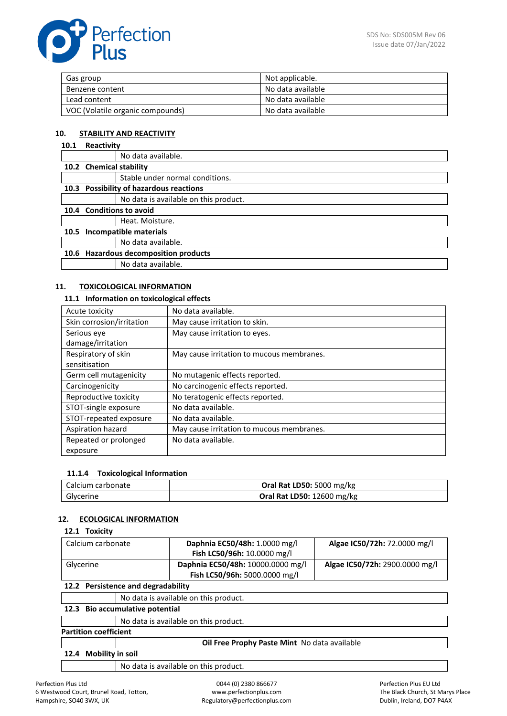| Gas group                        | Not applicable.   |
|----------------------------------|-------------------|
| Benzene content                  | No data available |
| Lead content                     | No data available |
| VOC (Volatile organic compounds) | No data available |

### **10. STABILITY AND REACTIVITY**

# **10.1 Reactivity**

|                                                 | No data available.                    |  |
|-------------------------------------------------|---------------------------------------|--|
|                                                 | 10.2 Chemical stability               |  |
|                                                 | Stable under normal conditions.       |  |
| 10.3 Possibility of hazardous reactions         |                                       |  |
|                                                 | No data is available on this product. |  |
|                                                 | 10.4 Conditions to avoid              |  |
|                                                 | Heat. Moisture.                       |  |
| Incompatible materials<br>10.5                  |                                       |  |
|                                                 | No data available.                    |  |
| <b>Hazardous decomposition products</b><br>10.6 |                                       |  |
|                                                 | No data available.                    |  |
|                                                 |                                       |  |

### **11. TOXICOLOGICAL INFORMATION**

### **11.1 Information on toxicological effects**

| Acute toxicity            | No data available.                        |
|---------------------------|-------------------------------------------|
| Skin corrosion/irritation | May cause irritation to skin.             |
| Serious eye               | May cause irritation to eyes.             |
| damage/irritation         |                                           |
| Respiratory of skin       | May cause irritation to mucous membranes. |
| sensitisation             |                                           |
| Germ cell mutagenicity    | No mutagenic effects reported.            |
| Carcinogenicity           | No carcinogenic effects reported.         |
| Reproductive toxicity     | No teratogenic effects reported.          |
| STOT-single exposure      | No data available.                        |
| STOT-repeated exposure    | No data available.                        |
| Aspiration hazard         | May cause irritation to mucous membranes. |
| Repeated or prolonged     | No data available.                        |
| exposure                  |                                           |

### **11.1.4 Toxicological Information**

| Calcium carbonate | Oral Rat LD50: 5000 mg/kg         |
|-------------------|-----------------------------------|
| Glycerine         | <b>Oral Rat LD50: 12600 mg/kg</b> |

### **12. ECOLOGICAL INFORMATION**

### **12.1 Toxicity**

| Calcium carbonate                  |                                       | Daphnia EC50/48h: 1.0000 mg/l     | Algae IC50/72h: 72.0000 mg/l   |
|------------------------------------|---------------------------------------|-----------------------------------|--------------------------------|
|                                    |                                       | Fish LC50/96h: 10.0000 mg/l       |                                |
| Glycerine                          |                                       | Daphnia EC50/48h: 10000.0000 mg/l | Algae IC50/72h: 2900.0000 mg/l |
|                                    |                                       | Fish LC50/96h: 5000.0000 mg/l     |                                |
| 12.2 Persistence and degradability |                                       |                                   |                                |
|                                    | No data is available on this product. |                                   |                                |
| 12.3 Bio accumulative notential    |                                       |                                   |                                |

#### **12.3 Bio accumulative potential**

No data is available on this product.

### **Partition coefficient**

**Oil Free Prophy Paste Mint** No data available

#### **12.4 Mobility in soil**

No data is available on this product.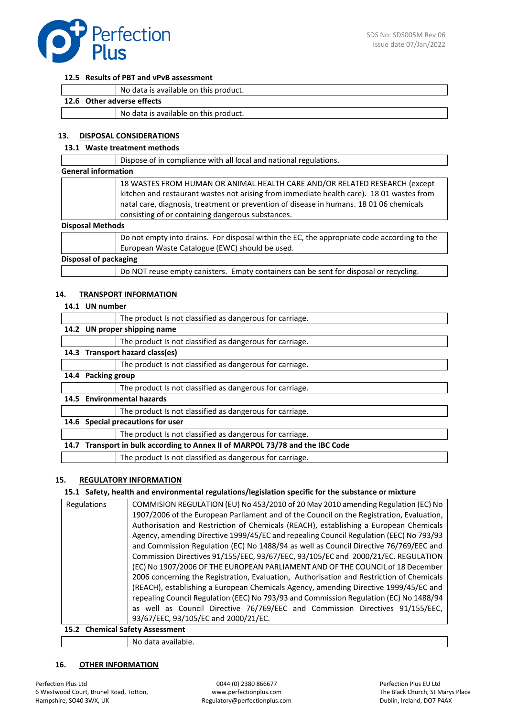

#### **12.5 Results of PBT and vPvB assessment**

|                            | No data is available on this product. |  |
|----------------------------|---------------------------------------|--|
| 12.6 Other adverse effects |                                       |  |
|                            | No data is available on this product. |  |

#### **13. DISPOSAL CONSIDERATIONS**

### **13.1 Waste treatment methods**

|                              | Dispose of in compliance with all local and national regulations.                                                                                                                                                                                                                                                      |
|------------------------------|------------------------------------------------------------------------------------------------------------------------------------------------------------------------------------------------------------------------------------------------------------------------------------------------------------------------|
| <b>General information</b>   |                                                                                                                                                                                                                                                                                                                        |
|                              | 18 WASTES FROM HUMAN OR ANIMAL HEALTH CARE AND/OR RELATED RESEARCH (except<br>kitchen and restaurant wastes not arising from immediate health care). 18 01 wastes from<br>natal care, diagnosis, treatment or prevention of disease in humans. 18 01 06 chemicals<br>consisting of or containing dangerous substances. |
| <b>Disposal Methods</b>      |                                                                                                                                                                                                                                                                                                                        |
|                              | Do not empty into drains. For disposal within the EC, the appropriate code according to the<br>European Waste Catalogue (EWC) should be used.                                                                                                                                                                          |
| <b>Disposal of packaging</b> |                                                                                                                                                                                                                                                                                                                        |
|                              | Do NOT reuse empty canisters. Empty containers can be sent for disposal or recycling.                                                                                                                                                                                                                                  |

#### **14. TRANSPORT INFORMATION**

#### **14.1 UN number**

|      |                                                                          | The product Is not classified as dangerous for carriage. |  |
|------|--------------------------------------------------------------------------|----------------------------------------------------------|--|
|      | 14.2 UN proper shipping name                                             |                                                          |  |
|      |                                                                          | The product Is not classified as dangerous for carriage. |  |
|      | 14.3 Transport hazard class(es)                                          |                                                          |  |
|      |                                                                          | The product Is not classified as dangerous for carriage. |  |
| 14.4 | Packing group                                                            |                                                          |  |
|      |                                                                          | The product Is not classified as dangerous for carriage. |  |
| 14.5 | <b>Environmental hazards</b>                                             |                                                          |  |
|      |                                                                          | The product Is not classified as dangerous for carriage. |  |
|      | 14.6 Special precautions for user                                        |                                                          |  |
|      |                                                                          | The product Is not classified as dangerous for carriage. |  |
| 14.7 | Transport in bulk according to Annex II of MARPOL 73/78 and the IBC Code |                                                          |  |
|      |                                                                          | The product Is not classified as dangerous for carriage. |  |

### **15. REGULATORY INFORMATION**

#### **15.1 Safety, health and environmental regulations/legislation specific for the substance or mixture**

| Regulations | COMMISION REGULATION (EU) No 453/2010 of 20 May 2010 amending Regulation (EC) No         |  |  |
|-------------|------------------------------------------------------------------------------------------|--|--|
|             | 1907/2006 of the European Parliament and of the Council on the Registration, Evaluation, |  |  |
|             | Authorisation and Restriction of Chemicals (REACH), establishing a European Chemicals    |  |  |
|             | Agency, amending Directive 1999/45/EC and repealing Council Regulation (EEC) No 793/93   |  |  |
|             | and Commission Regulation (EC) No 1488/94 as well as Council Directive 76/769/EEC and    |  |  |
|             | Commission Directives 91/155/EEC, 93/67/EEC, 93/105/EC and 2000/21/EC. REGULATION        |  |  |
|             | (EC) No 1907/2006 OF THE EUROPEAN PARLIAMENT AND OF THE COUNCIL of 18 December           |  |  |
|             | 2006 concerning the Registration, Evaluation, Authorisation and Restriction of Chemicals |  |  |
|             | (REACH), establishing a European Chemicals Agency, amending Directive 1999/45/EC and     |  |  |
|             | repealing Council Regulation (EEC) No 793/93 and Commission Regulation (EC) No 1488/94   |  |  |
|             | as well as Council Directive 76/769/EEC and Commission Directives 91/155/EEC,            |  |  |
|             | 93/67/EEC, 93/105/EC and 2000/21/EC.                                                     |  |  |
|             | 15.2 Chemical Safety Assessment                                                          |  |  |

No data available.

#### **16. OTHER INFORMATION**